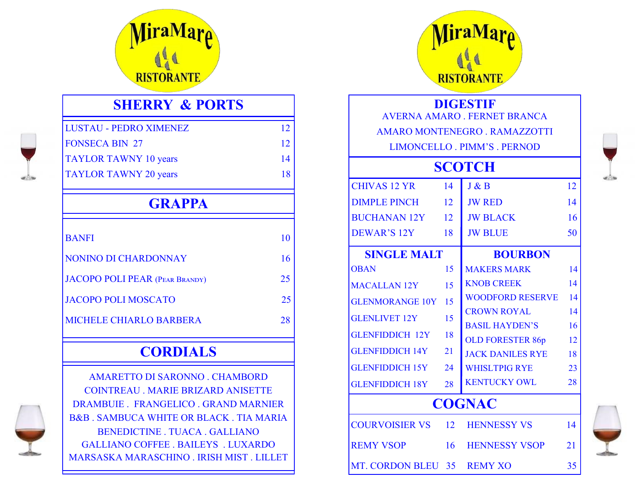

## **SHERRY & PORTS**

| LUSTAU - PEDRO XIMENEZ       | 12 |
|------------------------------|----|
| <b>FONSECA BIN 27</b>        | 12 |
| <b>TAYLOR TAWNY 10 years</b> | 14 |
| <b>TAYLOR TAWNY 20 years</b> | 18 |
|                              |    |

# **GRAPPA**

| <b>BANFI</b>                          | 10 |
|---------------------------------------|----|
| NONINO DI CHARDONNAY                  | 16 |
| <b>JACOPO POLI PEAR (PEAR BRANDY)</b> | 25 |
| <b>JACOPO POLI MOSCATO</b>            | 25 |
| <b>MICHELE CHIARLO BARBERA</b>        | 28 |

# **CORDIALS**



AMARETTO DI SARONNO . CHAMBORD COINTREAU . MARIE BRIZARD ANISETTE DRAMBUIE . FRANGELICO . GRAND MARNIER B&B . SAMBUCA WHITE OR BLACK . TIA MARIA BENEDICTINE . TUACA . GALLIANO GALLIANO COFFEE . BAILEYS . LUXARDO MARSASKA MARASCHINO . IRISH MIST . LILLET



#### **DIGESTIF**

AVERNA AMARO . FERNET BRANCA AMARO MONTENEGRO . RAMAZZOTTI

LIMONCELLO . PIMM'S . PERNOD

# **SCOTCH**   $CIIIVA S 12 VD 14 I P. D 12$

| UHIVAN IZ YK                         | 14              | J AZ IS                 | 12 <sub>1</sub> |  |
|--------------------------------------|-----------------|-------------------------|-----------------|--|
| <b>DIMPLE PINCH</b>                  | 12              | <b>JW RED</b>           | 14              |  |
| <b>BUCHANAN 12Y</b>                  | 12              | <b>JW BLACK</b>         | 16              |  |
| <b>DEWAR'S 12Y</b>                   | 18              | <b>JW BLUE</b>          | 50              |  |
| <b>SINGLE MALT</b><br><b>BOURBON</b> |                 |                         |                 |  |
| <b>OBAN</b>                          | 15              | <b>MAKERS MARK</b>      | 14              |  |
| <b>MACALLAN 12Y</b>                  | 15              | <b>KNOB CREEK</b>       | 14              |  |
| <b>GLENMORANGE 10Y</b>               | 15              | <b>WOODFORD RESERVE</b> | 14              |  |
| <b>GLENLIVET 12Y</b>                 | 15              | <b>CROWN ROYAL</b>      | 14              |  |
| <b>GLENFIDDICH 12Y</b>               | 18              | <b>BASIL HAYDEN'S</b>   | 16              |  |
|                                      |                 | <b>OLD FORESTER 86p</b> | 12              |  |
| <b>GLENFIDDICH 14Y</b>               | 21              | <b>JACK DANILES RYE</b> | 18              |  |
| <b>GLENFIDDICH 15Y</b>               | 24              | <b>WHISLTPIG RYE</b>    | 23              |  |
| <b>GLENFIDDICH 18Y</b>               | 28              | <b>KENTUCKY OWL</b>     | 28              |  |
| <b>COGNAC</b>                        |                 |                         |                 |  |
| <b>COURVOISIER VS</b>                | 12 <sup>7</sup> | <b>HENNESSY VS</b>      | 14              |  |
| <b>REMY VSOP</b>                     | 16              | <b>HENNESSY VSOP</b>    | 21              |  |
| MT. CORDON BLEU 35                   |                 | <b>REMY XO</b>          | 35              |  |